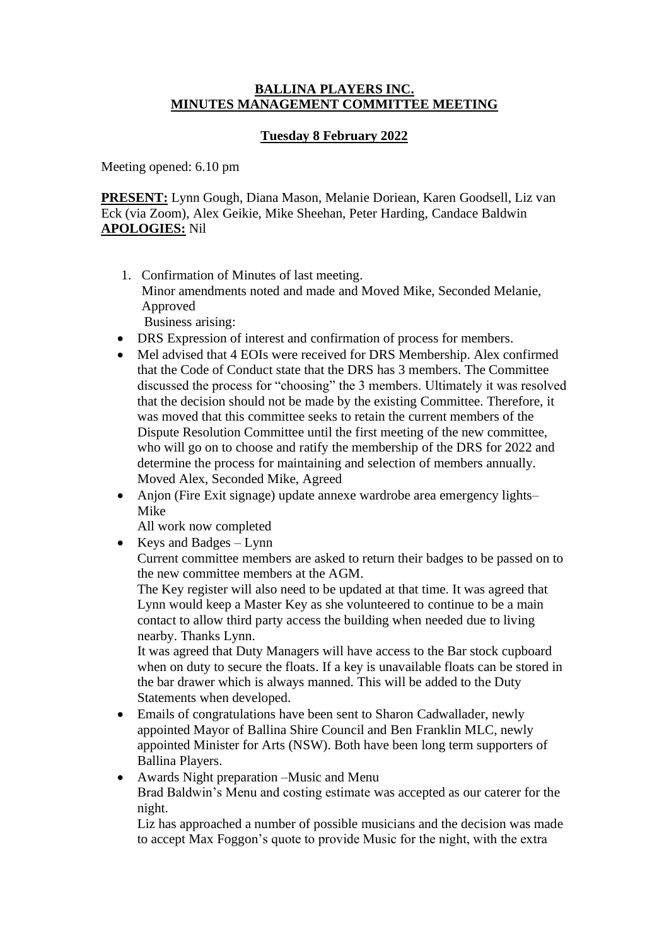#### **BALLINA PLAYERS INC. MINUTES MANAGEMENT COMMITTEE MEETING**

# **Tuesday 8 February 2022**

Meeting opened: 6.10 pm

**PRESENT:** Lynn Gough, Diana Mason, Melanie Doriean, Karen Goodsell, Liz van Eck (via Zoom), Alex Geikie, Mike Sheehan, Peter Harding, Candace Baldwin **APOLOGIES:** Nil

- 1. Confirmation of Minutes of last meeting. Minor amendments noted and made and Moved Mike, Seconded Melanie, Approved Business arising:
- DRS Expression of interest and confirmation of process for members.
- Mel advised that 4 EOIs were received for DRS Membership. Alex confirmed that the Code of Conduct state that the DRS has 3 members. The Committee discussed the process for "choosing" the 3 members. Ultimately it was resolved that the decision should not be made by the existing Committee. Therefore, it was moved that this committee seeks to retain the current members of the Dispute Resolution Committee until the first meeting of the new committee, who will go on to choose and ratify the membership of the DRS for 2022 and determine the process for maintaining and selection of members annually. Moved Alex, Seconded Mike, Agreed
- Anjon (Fire Exit signage) update annexe wardrobe area emergency lights– Mike

All work now completed

• Keys and Badges – Lynn

Current committee members are asked to return their badges to be passed on to the new committee members at the AGM.

The Key register will also need to be updated at that time. It was agreed that Lynn would keep a Master Key as she volunteered to continue to be a main contact to allow third party access the building when needed due to living nearby. Thanks Lynn.

It was agreed that Duty Managers will have access to the Bar stock cupboard when on duty to secure the floats. If a key is unavailable floats can be stored in the bar drawer which is always manned. This will be added to the Duty Statements when developed.

- Emails of congratulations have been sent to Sharon Cadwallader, newly appointed Mayor of Ballina Shire Council and Ben Franklin MLC, newly appointed Minister for Arts (NSW). Both have been long term supporters of Ballina Players.
- Awards Night preparation –Music and Menu Brad Baldwin's Menu and costing estimate was accepted as our caterer for the night.

Liz has approached a number of possible musicians and the decision was made to accept Max Foggon's quote to provide Music for the night, with the extra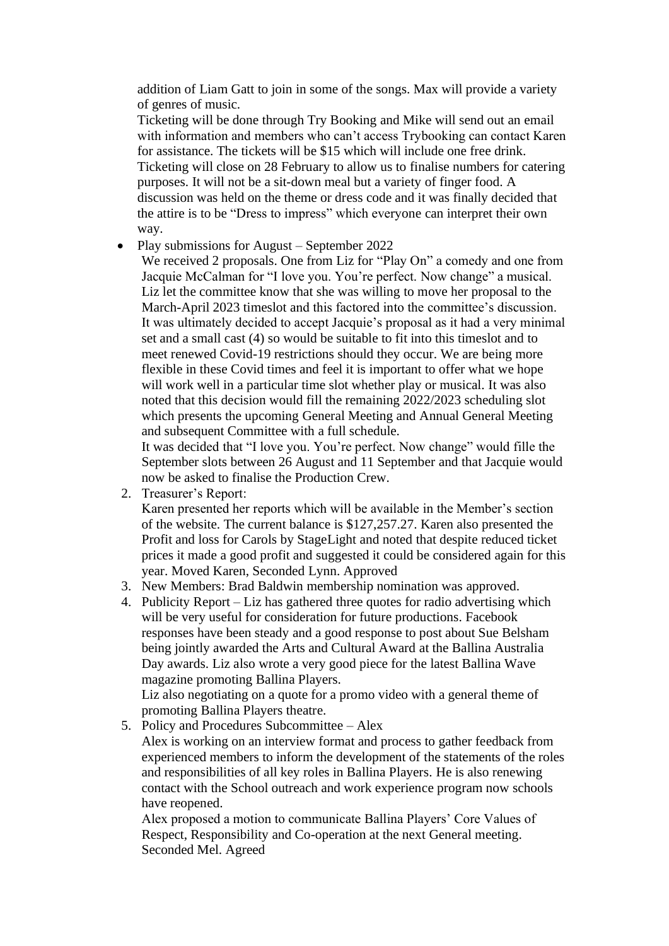addition of Liam Gatt to join in some of the songs. Max will provide a variety of genres of music.

Ticketing will be done through Try Booking and Mike will send out an email with information and members who can't access Trybooking can contact Karen for assistance. The tickets will be \$15 which will include one free drink. Ticketing will close on 28 February to allow us to finalise numbers for catering purposes. It will not be a sit-down meal but a variety of finger food. A discussion was held on the theme or dress code and it was finally decided that the attire is to be "Dress to impress" which everyone can interpret their own way.

## • Play submissions for August – September 2022

We received 2 proposals. One from Liz for "Play On" a comedy and one from Jacquie McCalman for "I love you. You're perfect. Now change" a musical. Liz let the committee know that she was willing to move her proposal to the March-April 2023 timeslot and this factored into the committee's discussion. It was ultimately decided to accept Jacquie's proposal as it had a very minimal set and a small cast (4) so would be suitable to fit into this timeslot and to meet renewed Covid-19 restrictions should they occur. We are being more flexible in these Covid times and feel it is important to offer what we hope will work well in a particular time slot whether play or musical. It was also noted that this decision would fill the remaining 2022/2023 scheduling slot which presents the upcoming General Meeting and Annual General Meeting and subsequent Committee with a full schedule.

It was decided that "I love you. You're perfect. Now change" would fille the September slots between 26 August and 11 September and that Jacquie would now be asked to finalise the Production Crew.

2. Treasurer's Report:

Karen presented her reports which will be available in the Member's section of the website. The current balance is \$127,257.27. Karen also presented the Profit and loss for Carols by StageLight and noted that despite reduced ticket prices it made a good profit and suggested it could be considered again for this year. Moved Karen, Seconded Lynn. Approved

- 3. New Members: Brad Baldwin membership nomination was approved.
- 4. Publicity Report Liz has gathered three quotes for radio advertising which will be very useful for consideration for future productions. Facebook responses have been steady and a good response to post about Sue Belsham being jointly awarded the Arts and Cultural Award at the Ballina Australia Day awards. Liz also wrote a very good piece for the latest Ballina Wave magazine promoting Ballina Players.

Liz also negotiating on a quote for a promo video with a general theme of promoting Ballina Players theatre.

#### 5. Policy and Procedures Subcommittee – Alex

Alex is working on an interview format and process to gather feedback from experienced members to inform the development of the statements of the roles and responsibilities of all key roles in Ballina Players. He is also renewing contact with the School outreach and work experience program now schools have reopened.

Alex proposed a motion to communicate Ballina Players' Core Values of Respect, Responsibility and Co-operation at the next General meeting. Seconded Mel. Agreed